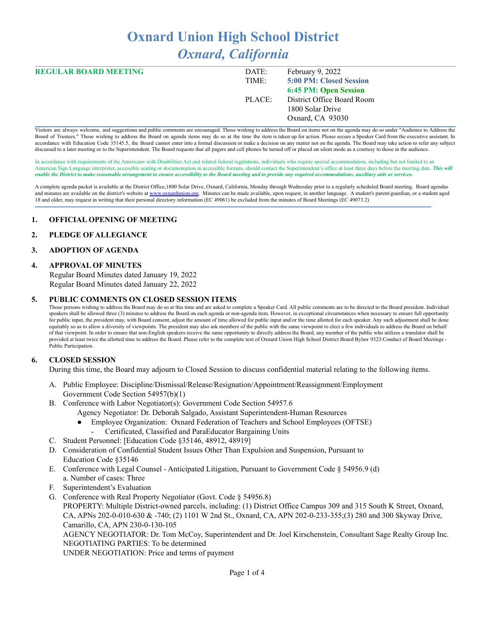# **Oxnard Union High School District** *Oxnard, California*

| <b>REGULAR BOARD MEETING</b> | DATE:  | February 9, 2022           |
|------------------------------|--------|----------------------------|
|                              | TIME:  | 5:00 PM: Closed Session    |
|                              |        | 6:45 PM: Open Session      |
|                              | PLACE: | District Office Board Room |
|                              |        | 1800 Solar Drive           |
|                              |        | Oxnard, CA 93030           |
|                              |        |                            |

Visitors are always welcome, and suggestions and public comments are encouraged. Those wishing to address the Board on items not on the agenda may do so under "Audience to Address the Board of Trustees." Those wishing to address the Board on agenda items may do so at the time the item is taken up for action. Please secure a Speaker Card from the executive assistant. In accordance with Education Code 35145.5, the Board cannot enter into a formal discussion or make a decision on any matter not on the agenda. The Board may take action to refer any subject discussed to a later meeting or to the Superintendent. The Board requests that all pagers and cell phones be turned off or placed on silent mode as a courtesy to those in the audience.

In accordance with requirements of the Americans with Disabilities Act and related federal regulations, individuals who require special accommodation, including but not limited to an American Sign Language interpreter, accessible seating or documentation in accessible formats, should contact the Superintendent's office at least three days before the meeting date. *This will* enable the District to make reasonable arrangement to ensure accessibility to the Board meeting and to provide any required accommodations, auxiliary aids or services.

A complete agenda packet is available at the District Office,1800 Solar Drive, Oxnard, California, Monday through Wednesday prior to a regularly scheduled Board meeting. Board agendas and minutes are available on the district's website at [www.o](http://www.o)xnardunion.org. Minutes can be made available, upon request, in another language. A student's parent/guardian, or a student aged 18 and older, may request in writing that their personal directory information (EC 49061) be excluded from the minutes of Board Meetings (EC 49073.2)

#### **1. OFFICIAL OPENING OF MEETING**

#### **2. PLEDGE OF ALLEGIANCE**

#### **3. ADOPTION OF AGENDA**

#### **4. APPROVAL OF MINUTES**

Regular Board Minutes dated January 19, 2022 Regular Board Minutes dated January 22, 2022

#### **5. PUBLIC COMMENTS ON CLOSED SESSION ITEMS**

Those persons wishing to address the Board may do so at this time and are asked to complete a Speaker Card. All public comments are to be directed to the Board president. Individual speakers shall be allowed three (3) minutes to address the Board on each agenda or non-agenda item. However, in exceptional circumstances when necessary to ensure full opportunity for public input, the president may, with Board consent, adjust the amount of time allowed for public input and/or the time allotted for each speaker. Any such adjustment shall be done equitably so as to allow a diversity of viewpoints. The president may also ask members of the public with the same viewpoint to elect a few individuals to address the Board on behalf of that viewpoint. In order to ensure that non-English speakers receive the same opportunity to directly address the Board, any member of the public who utilizes a translator shall be provided at least twice the allotted time to address the Board. Please refer to the complete text of Oxnard Union High School District Board Bylaw 9323:Conduct of Board Meetings -Public Participation.

## **6. CLOSED SESSION**

During this time, the Board may adjourn to Closed Session to discuss confidential material relating to the following items.

- A. Public Employee: Discipline/Dismissal/Release/Resignation/Appointment/Reassignment/Employment Government Code Section 54957(b)(1)
- B. Conference with Labor Negotiator(s): Government Code Section 54957.6
	- Agency Negotiator: Dr. Deborah Salgado, Assistant Superintendent-Human Resources
		- Employee Organization: Oxnard Federation of Teachers and School Employees (OFTSE)
		- Certificated, Classified and ParaEducator Bargaining Units
- C. Student Personnel: [Education Code §35146, 48912, 48919]
- D. Consideration of Confidential Student Issues Other Than Expulsion and Suspension, Pursuant to Education Code §35146
- E. Conference with Legal Counsel Anticipated Litigation, Pursuant to Government Code § 54956.9 (d) a. Number of cases: Three
- Superintendent's Evaluation
- G. Conference with Real Property Negotiator (Govt. Code § 54956.8) PROPERTY: Multiple District-owned parcels, including: (1) District Office Campus 309 and 315 South K Street, Oxnard, CA, APNs 202-0-010-630 & -740; (2) 1101 W 2nd St., Oxnard, CA, APN 202-0-233-355;(3) 280 and 300 Skyway Drive, Camarillo, CA, APN 230-0-130-105

AGENCY NEGOTIATOR: Dr. Tom McCoy, Superintendent and Dr. Joel Kirschenstein, Consultant Sage Realty Group Inc. NEGOTIATING PARTIES: To be determined

UNDER NEGOTIATION: Price and terms of payment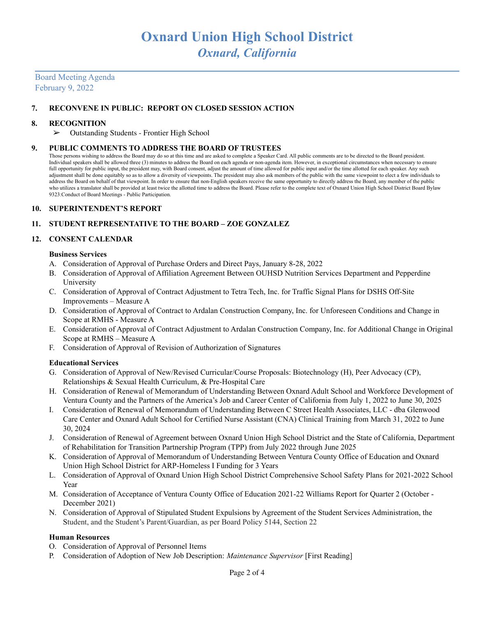# Board Meeting Agenda February 9, 2022

## **7. RECONVENE IN PUBLIC: REPORT ON CLOSED SESSION ACTION**

#### **8. RECOGNITION**

➢ Outstanding Students - Frontier High School

#### **9. PUBLIC COMMENTS TO ADDRESS THE BOARD OF TRUSTEES**

Those persons wishing to address the Board may do so at this time and are asked to complete a Speaker Card. All public comments are to be directed to the Board president. Individual speakers shall be allowed three (3) minutes to address the Board on each agenda or non-agenda item. However, in exceptional circumstances when necessary to ensure full opportunity for public input, the president may, with Board consent, adjust the amount of time allowed for public input and/or the time allotted for each speaker. Any such adjustment shall be done equitably so as to allow a diversity of viewpoints. The president may also ask members of the public with the same viewpoint to elect a few individuals to address the Board on behalf of that viewpoint. In order to ensure that non-English speakers receive the same opportunity to directly address the Board, any member of the public who utilizes a translator shall be provided at least twice the allotted time to address the Board. Please refer to the complete text of Oxnard Union High School District Board Bylaw 9323:Conduct of Board Meetings - Public Participation.

#### **10. SUPERINTENDENT'S REPORT**

## **11. STUDENT REPRESENTATIVE TO THE BOARD – ZOE GONZALEZ**

## **12. CONSENT CALENDAR**

#### **Business Services**

- A. Consideration of Approval of Purchase Orders and Direct Pays, January 8-28, 2022
- B. Consideration of Approval of Affiliation Agreement Between OUHSD Nutrition Services Department and Pepperdine University
- C. Consideration of Approval of Contract Adjustment to Tetra Tech, Inc. for Traffic Signal Plans for DSHS Off-Site Improvements – Measure A
- D. Consideration of Approval of Contract to Ardalan Construction Company, Inc. for Unforeseen Conditions and Change in Scope at RMHS - Measure A
- E. Consideration of Approval of Contract Adjustment to Ardalan Construction Company, Inc. for Additional Change in Original Scope at RMHS – Measure A
- F. Consideration of Approval of Revision of Authorization of Signatures

## **Educational Services**

- G. Consideration of Approval of New/Revised Curricular/Course Proposals: Biotechnology (H), Peer Advocacy (CP), Relationships & Sexual Health Curriculum, & Pre-Hospital Care
- H. Consideration of Renewal of Memorandum of Understanding Between Oxnard Adult School and Workforce Development of Ventura County and the Partners of the America's Job and Career Center of California from July 1, 2022 to June 30, 2025
- I. Consideration of Renewal of Memorandum of Understanding Between C Street Health Associates, LLC dba Glenwood Care Center and Oxnard Adult School for Certified Nurse Assistant (CNA) Clinical Training from March 31, 2022 to June 30, 2024
- J. Consideration of Renewal of Agreement between Oxnard Union High School District and the State of California, Department of Rehabilitation for Transition Partnership Program (TPP) from July 2022 through June 2025
- K. Consideration of Approval of Memorandum of Understanding Between Ventura County Office of Education and Oxnard Union High School District for ARP-Homeless I Funding for 3 Years
- L. Consideration of Approval of Oxnard Union High School District Comprehensive School Safety Plans for 2021-2022 School Year
- M. Consideration of Acceptance of Ventura County Office of Education 2021-22 Williams Report for Quarter 2 (October December 2021)
- N. Consideration of Approval of Stipulated Student Expulsions by Agreement of the Student Services Administration, the Student, and the Student's Parent/Guardian, as per Board Policy 5144, Section 22

#### **Human Resources**

- O. Consideration of Approval of Personnel Items
- P. Consideration of Adoption of New Job Description: *Maintenance Supervisor* [First Reading]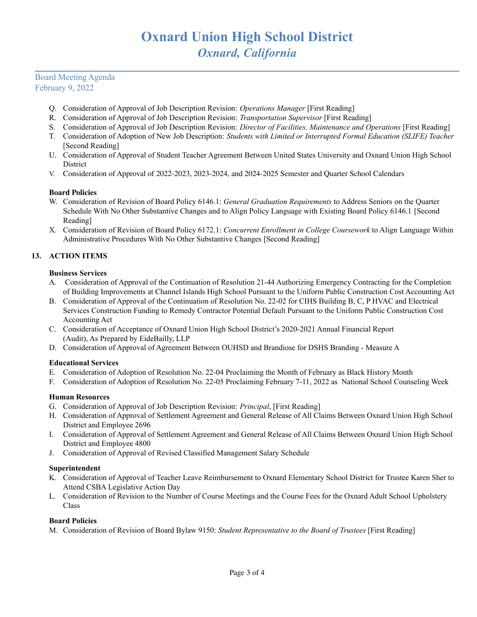# Board Meeting Agenda February 9, 2022

- Q. Consideration of Approval of Job Description Revision: *Operations Manager* [First Reading]
- R. Consideration of Approval of Job Description Revision: *Transportation Supervisor* [First Reading]
- S. Consideration of Approval of Job Description Revision: *Director of Facilities, Maintenance and Operations* [First Reading]
- T. Consideration of Adoption of New Job Description: *Students with Limited or Interrupted Formal Education (SLIFE) Teacher* [Second Reading]
- U. Consideration of Approval of Student Teacher Agreement Between United States University and Oxnard Union High School **District**
- V. Consideration of Approval of 2022-2023, 2023-2024, and 2024-2025 Semester and Quarter School Calendars

## **Board Policies**

- W. Consideration of Revision of Board Policy 6146.1: *General Graduation Requirements* to Address Seniors on the Quarter Schedule With No Other Substantive Changes and to Align Policy Language with Existing Board Policy 6146.1 [Second Reading]
- X. Consideration of Revision of Board Policy 6172.1: *Concurrent Enrollment in College Coursework* to Align Language Within Administrative Procedures With No Other Substantive Changes [Second Reading]

# **13. ACTION ITEMS**

## **Business Services**

- A. Consideration of Approval of the Continuation of Resolution 21-44 Authorizing Emergency Contracting for the Completion of Building Improvements at Channel Islands High School Pursuant to the Uniform Public Construction Cost Accounting Act
- B. Consideration of Approval of the Continuation of Resolution No. 22-02 for CIHS Building B, C, P HVAC and Electrical Services Construction Funding to Remedy Contractor Potential Default Pursuant to the Uniform Public Construction Cost Accounting Act
- C. Consideration of Acceptance of Oxnard Union High School District's 2020-2021 Annual Financial Report (Audit), As Prepared by EideBailly, LLP
- D. Consideration of Approval of Agreement Between OUHSD and Brandiose for DSHS Branding Measure A

## **Educational Services**

- E. Consideration of Adoption of Resolution No. 22-04 Proclaiming the Month of February as Black History Month
- F. Consideration of Adoption of Resolution No. 22-05 Proclaiming February 7-11, 2022 as National School Counseling Week

# **Human Resources**

- G. Consideration of Approval of Job Description Revision: *Principal*, [First Reading]
- H. Consideration of Approval of Settlement Agreement and General Release of All Claims Between Oxnard Union High School District and Employee 2696
- I. Consideration of Approval of Settlement Agreement and General Release of All Claims Between Oxnard Union High School District and Employee 4800
- J. Consideration of Approval of Revised Classified Management Salary Schedule

## **Superintendent**

- K. Consideration of Approval of Teacher Leave Reimbursement to Oxnard Elementary School District for Trustee Karen Sher to Attend CSBA Legislative Action Day
- L. Consideration of Revision to the Number of Course Meetings and the Course Fees for the Oxnard Adult School Upholstery Class

## **Board Policies**

M. Consideration of Revision of Board Bylaw 9150: *Student Representative to the Board of Trustees* [First Reading]